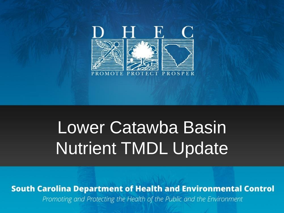

# Lower Catawba Basin Nutrient TMDL Update

**South Carolina Department of Health and Environmental Control** Promoting and Protecting the Health of the Public and the Environment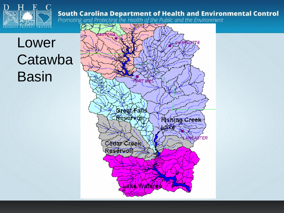

Lower **Catawba** Basin

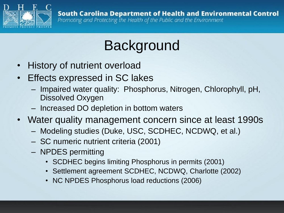

### Background

- History of nutrient overload
- Effects expressed in SC lakes
	- Impaired water quality: Phosphorus, Nitrogen, Chlorophyll, pH, Dissolved Oxygen
	- Increased DO depletion in bottom waters
- Water quality management concern since at least 1990s
	- Modeling studies (Duke, USC, SCDHEC, NCDWQ, et al.)
	- SC numeric nutrient criteria (2001)
	- NPDES permitting
		- SCDHEC begins limiting Phosphorus in permits (2001)
		- Settlement agreement SCDHEC, NCDWQ, Charlotte (2002)
		- NC NPDES Phosphorus load reductions (2006)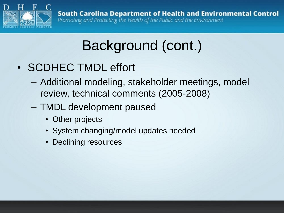

## Background (cont.)

- SCDHEC TMDL effort
	- Additional modeling, stakeholder meetings, model review, technical comments (2005-2008)
	- TMDL development paused
		- Other projects
		- System changing/model updates needed
		- Declining resources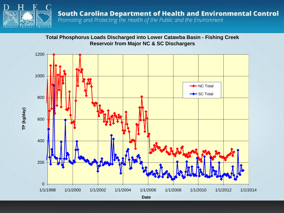

**Total Phosphorus Loads Discharged into Lower Catawba Basin - Fishing Creek Reservoir from Major NC & SC Dischargers**

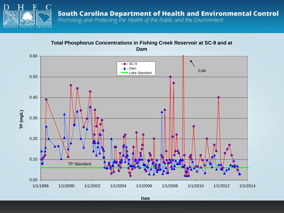

**Total Phosphorus Concentrations in Fishing Creek Reservoir at SC-9 and at Dam**

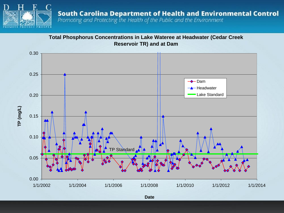

**Total Phosphorus Concentrations in Lake Wateree at Headwater (Cedar Creek Reservoir TR) and at Dam**

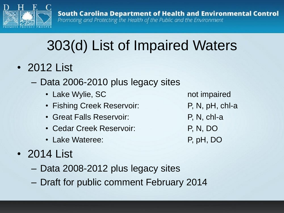

## 303(d) List of Impaired Waters

- 2012 List
	- Data 2006-2010 plus legacy sites
		- Lake Wylie, SC not impaired
		- Fishing Creek Reservoir: P, N, pH, chl-a
		- Great Falls Reservoir: P, N, chl-a
		- Cedar Creek Reservoir: P, N, DO
		- Lake Wateree: P, pH, DO
- 2014 List
	- Data 2008-2012 plus legacy sites
	- Draft for public comment February 2014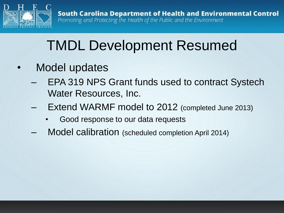

### TMDL Development Resumed

- Model updates
	- EPA 319 NPS Grant funds used to contract Systech Water Resources, Inc.
	- Extend WARMF model to 2012 (completed June 2013)
		- Good response to our data requests
	- Model calibration (scheduled completion April 2014)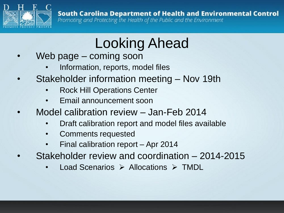

## Looking Ahead

- Web page coming soon
	- Information, reports, model files
- Stakeholder information meeting Nov 19th
	- Rock Hill Operations Center
	- Email announcement soon
- Model calibration review Jan-Feb 2014
	- Draft calibration report and model files available
	- Comments requested
	- Final calibration report Apr 2014
- Stakeholder review and coordination 2014-2015
	- Load Scenarios  $\triangleright$  Allocations  $\triangleright$  TMDL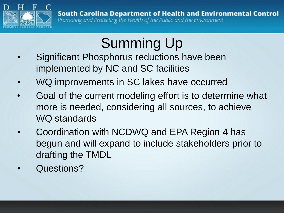

## Summing Up

- Significant Phosphorus reductions have been implemented by NC and SC facilities
- WQ improvements in SC lakes have occurred
- Goal of the current modeling effort is to determine what more is needed, considering all sources, to achieve WQ standards
- Coordination with NCDWQ and EPA Region 4 has begun and will expand to include stakeholders prior to drafting the TMDL
- Questions?